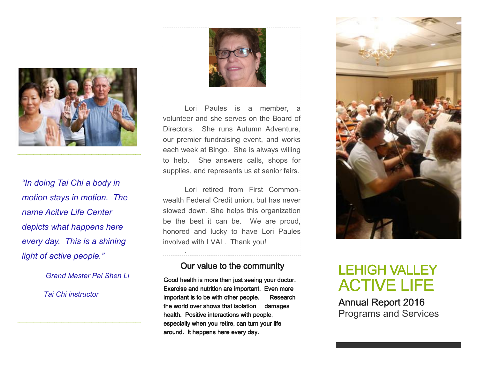

"In doing Tai Chi a body in<br>
motion stays in motion. The wealth Formane Acitve Life Center slowed<br>
depicts what happens here the honorec<br>
every day. This is a shining linvolved<br>
light of active people."

Grand Master Pai Shen Li

Tai Chi instructor



Lori Paules is a member, a volunteer and she serves on the Board of Directors. She runs Autumn Adventure, our premier fundraising event, and works each week at Bingo. She is always willing to help. She answers calls, shops for supplies, and represents us at senior fairs.

Lori retired from First Commonwealth Federal Credit union, but has never slowed down. She helps this organization be the best it can be. We are proud, honored and lucky to have Lori Paules involved with LVAL. Thank you!

#### Our value to the community

Good health is more than just seeing your doctor. Exercise and nutrition are important. Even more important is to be with other people. Researchthe world over shows that isolation damages health. Positive interactions with people, especially when you retire, can turn your life around. It happens here every day.



# LEHIGH VALLEY **ACTIVE LIFE**

Annual Report 2016 Programs and Services